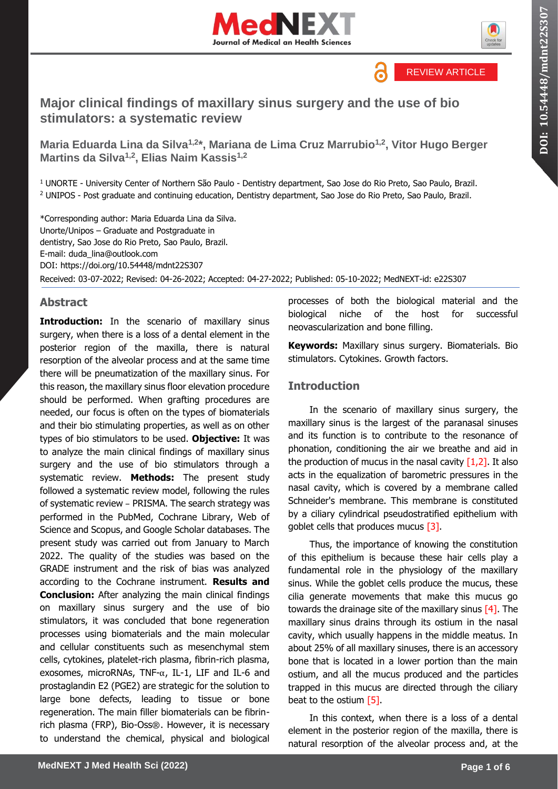



**DOI: 10.54448/mdnt22S30 10.54448/mdnt22S307** 

REVIEW ARTICLE

# **Major clinical findings of maxillary sinus surgery and the use of bio stimulators: a systematic review**

**Maria Eduarda Lina da Silva1,2\*, Mariana de Lima Cruz Marrubio1,2 , Vitor Hugo Berger Martins da Silva1,2, Elias Naim Kassis1,2**

<sup>1</sup> UNORTE - University Center of Northern São Paulo - Dentistry department, Sao Jose do Rio Preto, Sao Paulo, Brazil. <sup>2</sup> UNIPOS - Post graduate and continuing education, Dentistry department, Sao Jose do Rio Preto, Sao Paulo, Brazil.

\*Corresponding author: Maria Eduarda Lina da Silva. Unorte/Unipos – Graduate and Postgraduate in dentistry, Sao Jose do Rio Preto, Sao Paulo, Brazil. E-mail: duda\_lina@outlook.com DOI:<https://doi.org/10.54448/mdnt22S307> Received: 03-07-2022; Revised: 04-26-2022; Accepted: 04-27-2022; Published: 05-10-2022; MedNEXT-id: e22S307

## **Abstract**

**Introduction:** In the scenario of maxillary sinus surgery, when there is a loss of a dental element in the posterior region of the maxilla, there is natural resorption of the alveolar process and at the same time there will be pneumatization of the maxillary sinus. For this reason, the maxillary sinus floor elevation procedure should be performed. When grafting procedures are needed, our focus is often on the types of biomaterials and their bio stimulating properties, as well as on other types of bio stimulators to be used. **Objective:** It was to analyze the main clinical findings of maxillary sinus surgery and the use of bio stimulators through a systematic review. **Methods:** The present study followed a systematic review model, following the rules of systematic review – PRISMA. The search strategy was performed in the PubMed, Cochrane Library, Web of Science and Scopus, and Google Scholar databases. The present study was carried out from January to March 2022. The quality of the studies was based on the GRADE instrument and the risk of bias was analyzed according to the Cochrane instrument. **Results and Conclusion:** After analyzing the main clinical findings on maxillary sinus surgery and the use of bio stimulators, it was concluded that bone regeneration processes using biomaterials and the main molecular and cellular constituents such as mesenchymal stem cells, cytokines, platelet-rich plasma, fibrin-rich plasma, exosomes, microRNAs, TNF-α, IL-1, LIF and IL-6 and prostaglandin E2 (PGE2) are strategic for the solution to large bone defects, leading to tissue or bone regeneration. The main filler biomaterials can be fibrinrich plasma (FRP), Bio-Oss®. However, it is necessary to understand the chemical, physical and biological processes of both the biological material and the biological niche of the host for successful neovascularization and bone filling.

**Keywords:** Maxillary sinus surgery. Biomaterials. Bio stimulators. Cytokines. Growth factors.

# **Introduction**

In the scenario of maxillary sinus surgery, the maxillary sinus is the largest of the paranasal sinuses and its function is to contribute to the resonance of phonation, conditioning the air we breathe and aid in the production of mucus in the nasal cavity  $[1,2]$ . It also acts in the equalization of barometric pressures in the nasal cavity, which is covered by a membrane called Schneider's membrane. This membrane is constituted by a ciliary cylindrical pseudostratified epithelium with goblet cells that produces mucus [3].

Thus, the importance of knowing the constitution of this epithelium is because these hair cells play a fundamental role in the physiology of the maxillary sinus. While the goblet cells produce the mucus, these cilia generate movements that make this mucus go towards the drainage site of the maxillary sinus  $[4]$ . The maxillary sinus drains through its ostium in the nasal cavity, which usually happens in the middle meatus. In about 25% of all maxillary sinuses, there is an accessory bone that is located in a lower portion than the main ostium, and all the mucus produced and the particles trapped in this mucus are directed through the ciliary beat to the ostium [5].

In this context, when there is a loss of a dental element in the posterior region of the maxilla, there is natural resorption of the alveolar process and, at the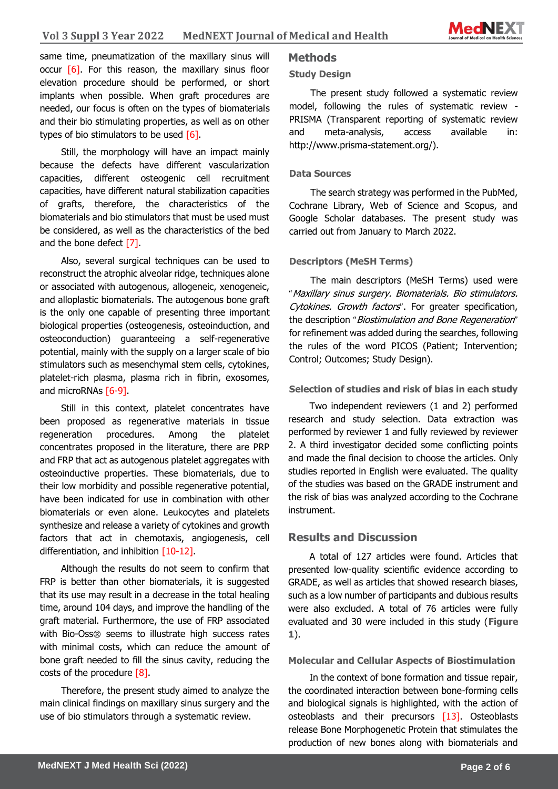

same time, pneumatization of the maxillary sinus will occur  $\lceil 6 \rceil$ . For this reason, the maxillary sinus floor elevation procedure should be performed, or short implants when possible. When graft procedures are needed, our focus is often on the types of biomaterials and their bio stimulating properties, as well as on other types of bio stimulators to be used [6].

Still, the morphology will have an impact mainly because the defects have different vascularization capacities, different osteogenic cell recruitment capacities, have different natural stabilization capacities of grafts, therefore, the characteristics of the biomaterials and bio stimulators that must be used must be considered, as well as the characteristics of the bed and the bone defect [7].

Also, several surgical techniques can be used to reconstruct the atrophic alveolar ridge, techniques alone or associated with autogenous, allogeneic, xenogeneic, and alloplastic biomaterials. The autogenous bone graft is the only one capable of presenting three important biological properties (osteogenesis, osteoinduction, and osteoconduction) guaranteeing a self-regenerative potential, mainly with the supply on a larger scale of bio stimulators such as mesenchymal stem cells, cytokines, platelet-rich plasma, plasma rich in fibrin, exosomes, and microRNAs [6-9].

Still in this context, platelet concentrates have been proposed as regenerative materials in tissue regeneration procedures. Among the platelet concentrates proposed in the literature, there are PRP and FRP that act as autogenous platelet aggregates with osteoinductive properties. These biomaterials, due to their low morbidity and possible regenerative potential, have been indicated for use in combination with other biomaterials or even alone. Leukocytes and platelets synthesize and release a variety of cytokines and growth factors that act in chemotaxis, angiogenesis, cell differentiation, and inhibition [10-12].

Although the results do not seem to confirm that FRP is better than other biomaterials, it is suggested that its use may result in a decrease in the total healing time, around 104 days, and improve the handling of the graft material. Furthermore, the use of FRP associated with Bio-Oss® seems to illustrate high success rates with minimal costs, which can reduce the amount of bone graft needed to fill the sinus cavity, reducing the costs of the procedure [8].

Therefore, the present study aimed to analyze the main clinical findings on maxillary sinus surgery and the use of bio stimulators through a systematic review.

# **Study Design**

**Methods**

The present study followed a systematic review model, following the rules of systematic review - PRISMA (Transparent reporting of systematic review and meta-analysis, access available in: http://www.prisma-statement.org/).

## **Data Sources**

The search strategy was performed in the PubMed, Cochrane Library, Web of Science and Scopus, and Google Scholar databases. The present study was carried out from January to March 2022.

### **Descriptors (MeSH Terms)**

The main descriptors (MeSH Terms) used were "Maxillary sinus surgery. Biomaterials. Bio stimulators. Cytokines. Growth factors". For greater specification, the description "Biostimulation and Bone Regeneration" for refinement was added during the searches, following the rules of the word PICOS (Patient; Intervention; Control; Outcomes; Study Design).

### **Selection of studies and risk of bias in each study**

Two independent reviewers (1 and 2) performed research and study selection. Data extraction was performed by reviewer 1 and fully reviewed by reviewer 2. A third investigator decided some conflicting points and made the final decision to choose the articles. Only studies reported in English were evaluated. The quality of the studies was based on the GRADE instrument and the risk of bias was analyzed according to the Cochrane instrument.

## **Results and Discussion**

A total of 127 articles were found. Articles that presented low-quality scientific evidence according to GRADE, as well as articles that showed research biases, such as a low number of participants and dubious results were also excluded. A total of 76 articles were fully evaluated and 30 were included in this study (**Figure 1**).

#### **Molecular and Cellular Aspects of Biostimulation**

In the context of bone formation and tissue repair, the coordinated interaction between bone-forming cells and biological signals is highlighted, with the action of osteoblasts and their precursors [13]. Osteoblasts release Bone Morphogenetic Protein that stimulates the production of new bones along with biomaterials and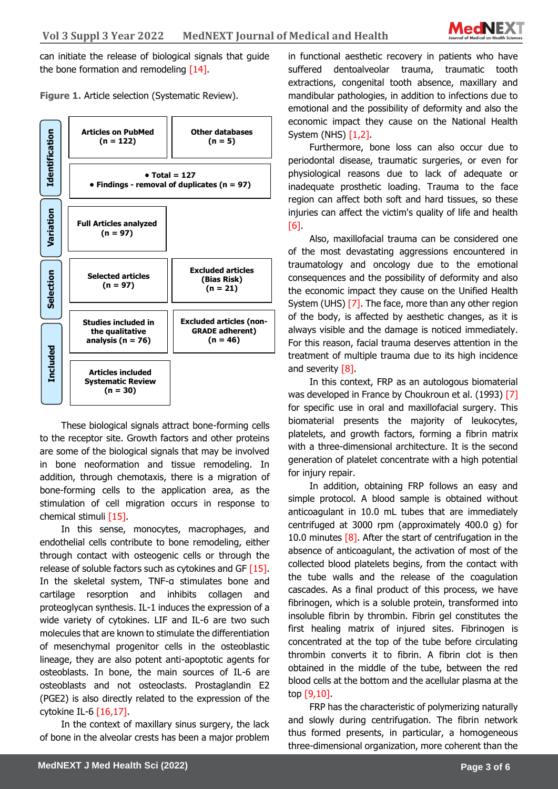

can initiate the release of biological signals that guide the bone formation and remodeling [14].

**Identification Variation Articles on PubMed (n = 122) Other databases (n = 5) • Total = 127 • Findings - removal of duplicates (n = 97) Full Articles analyzed (n = 97) Excluded articles (non-GRADE adherent) (n = 46) Selection Included Studies included in the qualitative analysis (n = 76) Selected articles (n = 97) Excluded articles (Bias Risk) (n = 21) Articles included Systematic Review (n = 30)**

**Figure 1.** Article selection (Systematic Review).

These biological signals attract bone-forming cells to the receptor site. Growth factors and other proteins are some of the biological signals that may be involved in bone neoformation and tissue remodeling. In addition, through chemotaxis, there is a migration of bone-forming cells to the application area, as the stimulation of cell migration occurs in response to chemical stimuli [15].

In this sense, monocytes, macrophages, and endothelial cells contribute to bone remodeling, either through contact with osteogenic cells or through the release of soluble factors such as cytokines and GF [15]. In the skeletal system, TNF-α stimulates bone and cartilage resorption and inhibits collagen and proteoglycan synthesis. IL-1 induces the expression of a wide variety of cytokines. LIF and IL-6 are two such molecules that are known to stimulate the differentiation of mesenchymal progenitor cells in the osteoblastic lineage, they are also potent anti-apoptotic agents for osteoblasts. In bone, the main sources of IL-6 are osteoblasts and not osteoclasts. Prostaglandin E2 (PGE2) is also directly related to the expression of the cytokine IL-6 [16,17].

In the context of maxillary sinus surgery, the lack of bone in the alveolar crests has been a major problem

in functional aesthetic recovery in patients who have suffered dentoalveolar trauma, traumatic tooth extractions, congenital tooth absence, maxillary and mandibular pathologies, in addition to infections due to emotional and the possibility of deformity and also the economic impact they cause on the National Health System (NHS) [1,2].

Furthermore, bone loss can also occur due to periodontal disease, traumatic surgeries, or even for physiological reasons due to lack of adequate or inadequate prosthetic loading. Trauma to the face region can affect both soft and hard tissues, so these injuries can affect the victim's quality of life and health [6].

Also, maxillofacial trauma can be considered one of the most devastating aggressions encountered in traumatology and oncology due to the emotional consequences and the possibility of deformity and also the economic impact they cause on the Unified Health System (UHS) [7]. The face, more than any other region of the body, is affected by aesthetic changes, as it is always visible and the damage is noticed immediately. For this reason, facial trauma deserves attention in the treatment of multiple trauma due to its high incidence and severity  $[8]$ .

In this context, FRP as an autologous biomaterial was developed in France by Choukroun et al. (1993) [7] for specific use in oral and maxillofacial surgery. This biomaterial presents the majority of leukocytes, platelets, and growth factors, forming a fibrin matrix with a three-dimensional architecture. It is the second generation of platelet concentrate with a high potential for injury repair.

In addition, obtaining FRP follows an easy and simple protocol. A blood sample is obtained without anticoagulant in 10.0 mL tubes that are immediately centrifuged at 3000 rpm (approximately 400.0 g) for 10.0 minutes  $\sqrt{8}$ . After the start of centrifugation in the absence of anticoagulant, the activation of most of the collected blood platelets begins, from the contact with the tube walls and the release of the coagulation cascades. As a final product of this process, we have fibrinogen, which is a soluble protein, transformed into insoluble fibrin by thrombin. Fibrin gel constitutes the first healing matrix of injured sites. Fibrinogen is concentrated at the top of the tube before circulating thrombin converts it to fibrin. A fibrin clot is then obtained in the middle of the tube, between the red blood cells at the bottom and the acellular plasma at the top [9,10].

FRP has the characteristic of polymerizing naturally and slowly during centrifugation. The fibrin network thus formed presents, in particular, a homogeneous three-dimensional organization, more coherent than the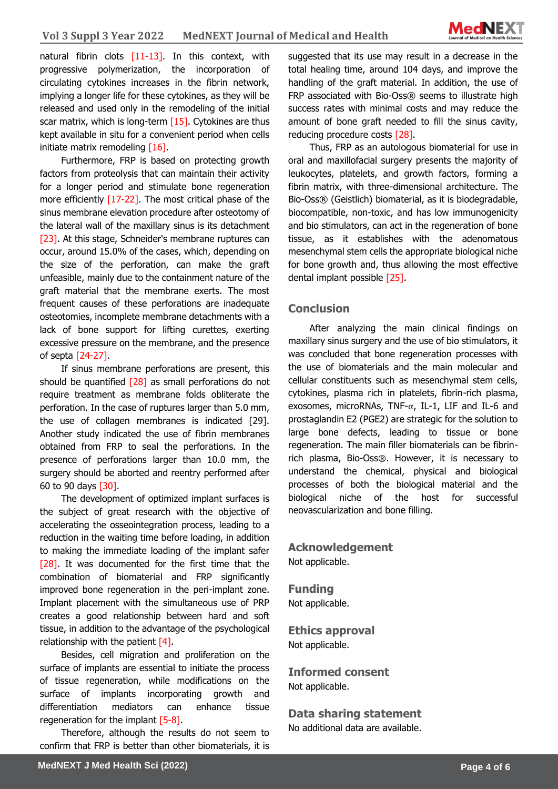

natural fibrin clots [11-13]. In this context, with progressive polymerization, the incorporation of circulating cytokines increases in the fibrin network, implying a longer life for these cytokines, as they will be released and used only in the remodeling of the initial scar matrix, which is long-term [15]. Cytokines are thus kept available in situ for a convenient period when cells initiate matrix remodeling [16].

Furthermore, FRP is based on protecting growth factors from proteolysis that can maintain their activity for a longer period and stimulate bone regeneration more efficiently [17-22]. The most critical phase of the sinus membrane elevation procedure after osteotomy of the lateral wall of the maxillary sinus is its detachment [23]. At this stage, Schneider's membrane ruptures can occur, around 15.0% of the cases, which, depending on the size of the perforation, can make the graft unfeasible, mainly due to the containment nature of the graft material that the membrane exerts. The most frequent causes of these perforations are inadequate osteotomies, incomplete membrane detachments with a lack of bone support for lifting curettes, exerting excessive pressure on the membrane, and the presence of septa [24-27].

If sinus membrane perforations are present, this should be quantified  $[28]$  as small perforations do not require treatment as membrane folds obliterate the perforation. In the case of ruptures larger than 5.0 mm, the use of collagen membranes is indicated [29]. Another study indicated the use of fibrin membranes obtained from FRP to seal the perforations. In the presence of perforations larger than 10.0 mm, the surgery should be aborted and reentry performed after 60 to 90 days [30].

The development of optimized implant surfaces is the subject of great research with the objective of accelerating the osseointegration process, leading to a reduction in the waiting time before loading, in addition to making the immediate loading of the implant safer [28]. It was documented for the first time that the combination of biomaterial and FRP significantly improved bone regeneration in the peri-implant zone. Implant placement with the simultaneous use of PRP creates a good relationship between hard and soft tissue, in addition to the advantage of the psychological relationship with the patient [4].

Besides, cell migration and proliferation on the surface of implants are essential to initiate the process of tissue regeneration, while modifications on the surface of implants incorporating growth and differentiation mediators can enhance tissue regeneration for the implant [5-8].

Therefore, although the results do not seem to confirm that FRP is better than other biomaterials, it is

suggested that its use may result in a decrease in the total healing time, around 104 days, and improve the handling of the graft material. In addition, the use of FRP associated with Bio-Oss® seems to illustrate high success rates with minimal costs and may reduce the amount of bone graft needed to fill the sinus cavity, reducing procedure costs [28].

Thus, FRP as an autologous biomaterial for use in oral and maxillofacial surgery presents the majority of leukocytes, platelets, and growth factors, forming a fibrin matrix, with three-dimensional architecture. The Bio-Oss® (Geistlich) biomaterial, as it is biodegradable, biocompatible, non-toxic, and has low immunogenicity and bio stimulators, can act in the regeneration of bone tissue, as it establishes with the adenomatous mesenchymal stem cells the appropriate biological niche for bone growth and, thus allowing the most effective dental implant possible [25].

## **Conclusion**

After analyzing the main clinical findings on maxillary sinus surgery and the use of bio stimulators, it was concluded that bone regeneration processes with the use of biomaterials and the main molecular and cellular constituents such as mesenchymal stem cells, cytokines, plasma rich in platelets, fibrin-rich plasma, exosomes, microRNAs, TNF- $\alpha$ , IL-1, LIF and IL-6 and prostaglandin E2 (PGE2) are strategic for the solution to large bone defects, leading to tissue or bone regeneration. The main filler biomaterials can be fibrinrich plasma, Bio-Oss®. However, it is necessary to understand the chemical, physical and biological processes of both the biological material and the biological niche of the host for successful neovascularization and bone filling.

**Acknowledgement** Not applicable.

**Funding** Not applicable.

**Ethics approval**  Not applicable.

**Informed consent** Not applicable.

**Data sharing statement** No additional data are available.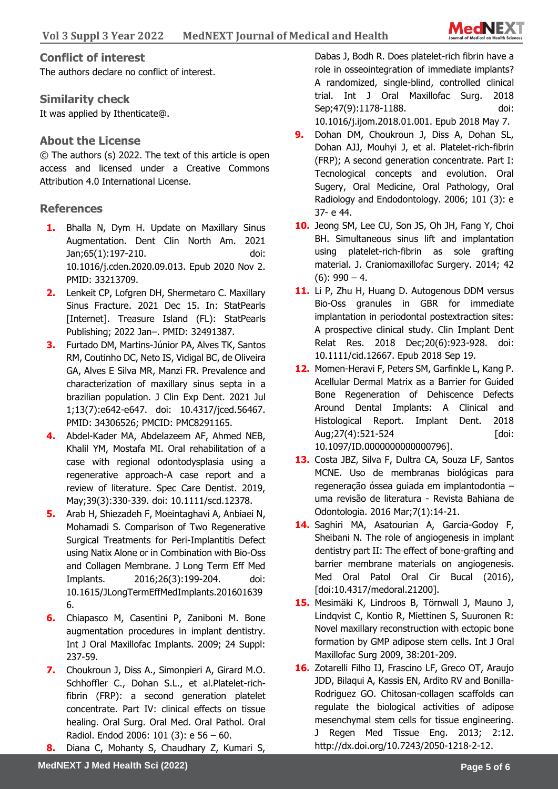

## **Conflict of interest**

The authors declare no conflict of interest.

# **Similarity check**

It was applied by Ithenticate@.

# **About the License**

© The authors (s) 2022. The text of this article is open access and licensed under a Creative Commons Attribution 4.0 International License.

# **References**

- **1.** Bhalla N, Dym H. Update on Maxillary Sinus Augmentation. Dent Clin North Am. 2021 Jan;65(1):197-210. doi: 10.1016/j.cden.2020.09.013. Epub 2020 Nov 2. PMID: 33213709.
- **2.** Lenkeit CP, Lofgren DH, Shermetaro C. Maxillary Sinus Fracture. 2021 Dec 15. In: StatPearls [Internet]. Treasure Island (FL): StatPearls Publishing; 2022 Jan–. PMID: 32491387.
- **3.** Furtado DM, Martins-Júnior PA, Alves TK, Santos RM, Coutinho DC, Neto IS, Vidigal BC, de Oliveira GA, Alves E Silva MR, Manzi FR. Prevalence and characterization of maxillary sinus septa in a brazilian population. J Clin Exp Dent. 2021 Jul 1;13(7):e642-e647. doi: 10.4317/jced.56467. PMID: 34306526; PMCID: PMC8291165.
- **4.** Abdel-Kader MA, Abdelazeem AF, Ahmed NEB, Khalil YM, Mostafa MI. Oral rehabilitation of a case with regional odontodysplasia using a regenerative approach-A case report and a review of literature. Spec Care Dentist. 2019, May;39(3):330-339. doi: 10.1111/scd.12378.
- **5.** Arab H, Shiezadeh F, Moeintaghavi A, Anbiaei N, Mohamadi S. Comparison of Two Regenerative Surgical Treatments for Peri-Implantitis Defect using Natix Alone or in Combination with Bio-Oss and Collagen Membrane. J Long Term Eff Med Implants. 2016;26(3):199-204. doi: 10.1615/JLongTermEffMedImplants.201601639 6.
- **6.** Chiapasco M, Casentini P, Zaniboni M. Bone augmentation procedures in implant dentistry. Int J Oral Maxillofac Implants. 2009; 24 Suppl: 237-59.
- **7.** Choukroun J, Diss A., Simonpieri A, Girard M.O. Schhoffler C., Dohan S.L., et al.Platelet-richfibrin (FRP): a second generation platelet concentrate. Part IV: clinical effects on tissue healing. Oral Surg. Oral Med. Oral Pathol. Oral Radiol. Endod 2006: 101 (3): e 56 – 60.
- **8.** Diana C, Mohanty S, Chaudhary Z, Kumari S,

Dabas J, Bodh R. Does platelet-rich fibrin have a role in osseointegration of immediate implants? A randomized, single-blind, controlled clinical trial. Int J Oral Maxillofac Surg. 2018 Sep;47(9):1178-1188. doi:

10.1016/j.ijom.2018.01.001. Epub 2018 May 7.

- **9.** Dohan DM, Choukroun J, Diss A, Dohan SL, Dohan AJJ, Mouhyi J, et al. Platelet-rich-fibrin (FRP); A second generation concentrate. Part I: Tecnological concepts and evolution. Oral Sugery, Oral Medicine, Oral Pathology, Oral Radiology and Endodontology. 2006; 101 (3): e 37- e 44.
- **10.** Jeong SM, Lee CU, Son JS, Oh JH, Fang Y, Choi BH. Simultaneous sinus lift and implantation using platelet-rich-fibrin as sole grafting material. J. Craniomaxillofac Surgery. 2014; 42  $(6)$ : 990 – 4.
- 11. Li P, Zhu H, Huang D. Autogenous DDM versus Bio-Oss granules in GBR for immediate implantation in periodontal postextraction sites: A prospective clinical study. Clin Implant Dent Relat Res. 2018 Dec;20(6):923-928. doi: 10.1111/cid.12667. Epub 2018 Sep 19.
- **12.** Momen-Heravi F, Peters SM, Garfinkle L, Kang P. Acellular Dermal Matrix as a Barrier for Guided Bone Regeneration of Dehiscence Defects Around Dental Implants: A Clinical and Histological Report. Implant Dent. 2018 Aug;27(4):521-524 [doi: 10.1097/ID.0000000000000796].
- **13.** Costa JBZ, Silva F, Dultra CA, Souza LF, Santos MCNE. Uso de membranas biológicas para regeneração óssea guiada em implantodontia – uma revisão de literatura - Revista Bahiana de Odontologia. 2016 Mar;7(1):14-21.
- **14.** Saghiri MA, Asatourian A, Garcia-Godoy F, Sheibani N. The role of angiogenesis in implant dentistry part II: The effect of bone-grafting and barrier membrane materials on angiogenesis. Med Oral Patol Oral Cir Bucal (2016), [doi:10.4317/medoral.21200].
- **15.** Mesimäki K, Lindroos B, Törnwall J, Mauno J, Lindqvist C, Kontio R, Miettinen S, Suuronen R: Novel maxillary reconstruction with ectopic bone formation by GMP adipose stem cells. Int J Oral Maxillofac Surg 2009, 38:201-209.
- **16.** Zotarelli Filho IJ, Frascino LF, Greco OT, Araujo JDD, Bilaqui A, Kassis EN, Ardito RV and Bonilla-Rodriguez GO. Chitosan-collagen scaffolds can regulate the biological activities of adipose mesenchymal stem cells for tissue engineering. J Regen Med Tissue Eng. 2013; 2:12. http://dx.doi.org/10.7243/2050-1218-2-12.